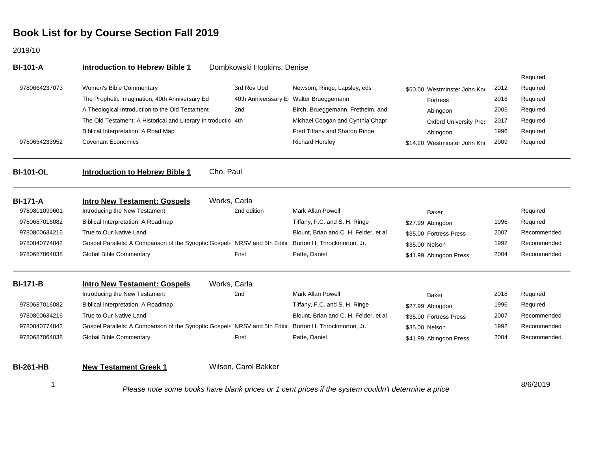2019/10

| <b>BI-101-A</b>  | <b>Introduction to Hebrew Bible 1</b>                                                                  | Dombkowski Hopkins, Denise |                                         |                               |      |             |
|------------------|--------------------------------------------------------------------------------------------------------|----------------------------|-----------------------------------------|-------------------------------|------|-------------|
|                  |                                                                                                        |                            |                                         |                               |      | Required    |
| 9780664237073    | Women's Bible Commentary                                                                               | 3rd Rev Upd                | Newsom, Ringe, Lapsley, eds             | \$50.00 Westminster John Kno  | 2012 | Required    |
|                  | The Prophetic Imagination, 40th Anniversary Ed                                                         | 40th Anniverssary E        | Walter Brueggemann                      | <b>Fortress</b>               | 2018 | Required    |
|                  | A Theological Introduction to the Old Testament                                                        | 2 <sub>nd</sub>            | Birch, Brueggemann, Fretheim, and       | Abingdon                      | 2005 | Required    |
|                  | The Old Testament: A Historical and Literary In troductic 4th                                          |                            | Michael Coogan and Cynthia Chapr        | <b>Oxford University Pres</b> | 2017 | Required    |
|                  | Biblical Interpretation: A Road Map                                                                    |                            | Fred Tiffany and Sharon Ringe           | Abingdon                      | 1996 | Required    |
| 9780664233952    | <b>Covenant Economics</b>                                                                              |                            | <b>Richard Horsley</b>                  | \$14.20 Westminster John Kno  | 2009 | Required    |
| <b>BI-101-OL</b> | Cho, Paul<br><b>Introduction to Hebrew Bible 1</b>                                                     |                            |                                         |                               |      |             |
| <b>BI-171-A</b>  | <b>Intro New Testament: Gospels</b>                                                                    | Works, Carla               |                                         |                               |      |             |
| 9780801099601    | Introducing the New Testament                                                                          | 2nd edition                | <b>Mark Allan Powell</b>                | Baker                         |      | Required    |
| 9780687016082    | Biblical Interpretation: A Roadmap                                                                     |                            | Tiffany, F.C. and S. H. Ringe           | \$27.99 Abingdon              | 1996 | Required    |
| 9780800634216    | True to Our Native Land                                                                                |                            | Blount, Brian and C. H. Felder, et al   | \$35.00 Fortress Press        | 2007 | Recommended |
| 9780840774842    | Gospel Parallels: A Comparison of the Synoptic Gospels NRSV and 5th Editic Burton H. Throckmorton, Jr. |                            |                                         | \$35.00 Nelson                | 1992 | Recommended |
| 9780687064038    | <b>Global Bible Commentary</b>                                                                         | First                      | Patte, Daniel                           | \$41.99 Abingdon Press        | 2004 | Recommended |
| <b>BI-171-B</b>  | <b>Intro New Testament: Gospels</b>                                                                    | Works, Carla               |                                         |                               |      |             |
|                  | Introducing the New Testament                                                                          | 2nd                        | <b>Mark Allan Powell</b>                | <b>Baker</b>                  | 2018 | Required    |
| 9780687016082    | Biblical Interpretation: A Roadmap                                                                     |                            | Tiffany, F.C. and S. H. Ringe           | \$27.99 Abingdon              | 1996 | Required    |
| 9780800634216    | True to Our Native Land                                                                                |                            | Blount, Brian and C. H. Felder, et al   | \$35.00 Fortress Press        | 2007 | Recommended |
| 9780840774842    | Gospel Parallels: A Comparison of the Synoptic Gospels NRSV and 5th Editic Burton H. Throckmorton, Jr. |                            |                                         | \$35.00 Nelson                | 1992 | Recommended |
| 9780687064038    | Global Bible Commentary                                                                                | First                      | Patte, Daniel                           | \$41.99 Abingdon Press        | 2004 | Recommended |
| <b>BI-261-HB</b> | <b>New Testament Greek 1</b>                                                                           | Wilson, Carol Bakker       |                                         |                               |      |             |
| 1                |                                                                                                        |                            | if the suntain southlolt determines are |                               |      | 8/6/2019    |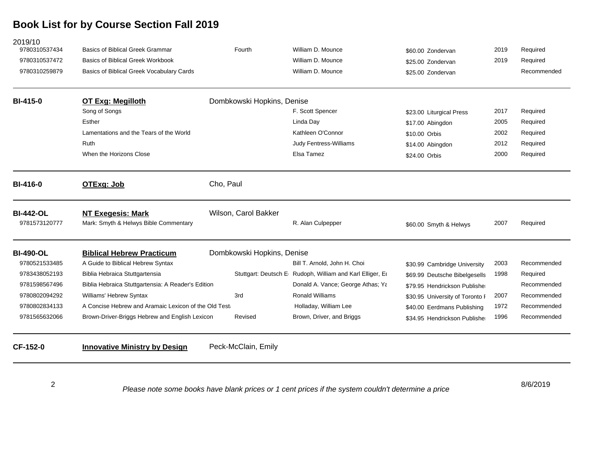| <b>Basics of Biblical Greek Grammar</b><br><b>Basics of Biblical Greek Workbook</b><br>Basics of Biblical Greek Vocabulary Cards<br>OT Exg: Megilloth<br>Lamentations and the Tears of the World<br>When the Horizons Close | Fourth<br>Dombkowski Hopkins, Denise<br>Cho, Paul | William D. Mounce<br>William D. Mounce<br>William D. Mounce<br>F. Scott Spencer<br>Linda Day<br>Kathleen O'Connor<br>Judy Fentress-Williams<br>Elsa Tamez | \$60.00 Zondervan<br>\$25.00 Zondervan<br>\$25.00 Zondervan<br>\$23.00 Liturgical Press<br>\$17.00 Abingdon<br>\$10.00 Orbis<br>\$14.00 Abingdon<br>\$24.00 Orbis | 2019<br>2019<br>2017<br>2005<br>2002<br>2012<br>2000 | Required<br>Required<br>Recommended<br>Required<br>Required<br>Required<br>Required<br>Required |
|-----------------------------------------------------------------------------------------------------------------------------------------------------------------------------------------------------------------------------|---------------------------------------------------|-----------------------------------------------------------------------------------------------------------------------------------------------------------|-------------------------------------------------------------------------------------------------------------------------------------------------------------------|------------------------------------------------------|-------------------------------------------------------------------------------------------------|
|                                                                                                                                                                                                                             |                                                   |                                                                                                                                                           |                                                                                                                                                                   |                                                      |                                                                                                 |
|                                                                                                                                                                                                                             |                                                   |                                                                                                                                                           |                                                                                                                                                                   |                                                      |                                                                                                 |
|                                                                                                                                                                                                                             |                                                   |                                                                                                                                                           |                                                                                                                                                                   |                                                      |                                                                                                 |
|                                                                                                                                                                                                                             |                                                   |                                                                                                                                                           |                                                                                                                                                                   |                                                      |                                                                                                 |
|                                                                                                                                                                                                                             |                                                   |                                                                                                                                                           |                                                                                                                                                                   |                                                      |                                                                                                 |
|                                                                                                                                                                                                                             |                                                   |                                                                                                                                                           |                                                                                                                                                                   |                                                      |                                                                                                 |
|                                                                                                                                                                                                                             |                                                   |                                                                                                                                                           |                                                                                                                                                                   |                                                      |                                                                                                 |
|                                                                                                                                                                                                                             |                                                   |                                                                                                                                                           |                                                                                                                                                                   |                                                      |                                                                                                 |
|                                                                                                                                                                                                                             |                                                   |                                                                                                                                                           |                                                                                                                                                                   |                                                      |                                                                                                 |
|                                                                                                                                                                                                                             |                                                   |                                                                                                                                                           |                                                                                                                                                                   |                                                      |                                                                                                 |
| <b>NT Exegesis: Mark</b><br>Mark: Smyth & Helwys Bible Commentary                                                                                                                                                           | Wilson, Carol Bakker                              | R. Alan Culpepper                                                                                                                                         | \$60.00 Smyth & Helwys                                                                                                                                            | 2007                                                 | Required                                                                                        |
| <b>Biblical Hebrew Practicum</b>                                                                                                                                                                                            | Dombkowski Hopkins, Denise                        |                                                                                                                                                           |                                                                                                                                                                   |                                                      |                                                                                                 |
| A Guide to Biblical Hebrew Syntax                                                                                                                                                                                           |                                                   | Bill T. Arnold, John H. Choi                                                                                                                              | \$30.99 Cambridge University                                                                                                                                      | 2003                                                 | Recommended                                                                                     |
| Biblia Hebraica Stuttgartensia                                                                                                                                                                                              |                                                   | Stuttgart: Deutsch E Rudoph, William and Karl Elliger, Ed                                                                                                 | \$69.99 Deutsche Bibelgesells                                                                                                                                     | 1998                                                 | Required                                                                                        |
| Biblia Hebraica Stuttgartensia: A Reader's Edition                                                                                                                                                                          |                                                   | Donald A. Vance; George Athas; Ya                                                                                                                         | \$79.95 Hendrickson Publisher                                                                                                                                     |                                                      | Recommended                                                                                     |
| Williams' Hebrew Syntax                                                                                                                                                                                                     | 3rd                                               | <b>Ronald Williams</b>                                                                                                                                    | \$30.95 University of Toronto F                                                                                                                                   | 2007                                                 | Recommended                                                                                     |
|                                                                                                                                                                                                                             |                                                   | Holladay, William Lee                                                                                                                                     | \$40.00 Eerdmans Publishing                                                                                                                                       | 1972                                                 | Recommended                                                                                     |
| Brown-Driver-Briggs Hebrew and English Lexicon                                                                                                                                                                              | Revised                                           | Brown, Driver, and Briggs                                                                                                                                 | \$34.95 Hendrickson Publisher                                                                                                                                     | 1996                                                 | Recommended                                                                                     |
|                                                                                                                                                                                                                             |                                                   |                                                                                                                                                           |                                                                                                                                                                   |                                                      |                                                                                                 |
|                                                                                                                                                                                                                             |                                                   | A Concise Hebrew and Aramaic Lexicon of the Old Test                                                                                                      |                                                                                                                                                                   |                                                      |                                                                                                 |

2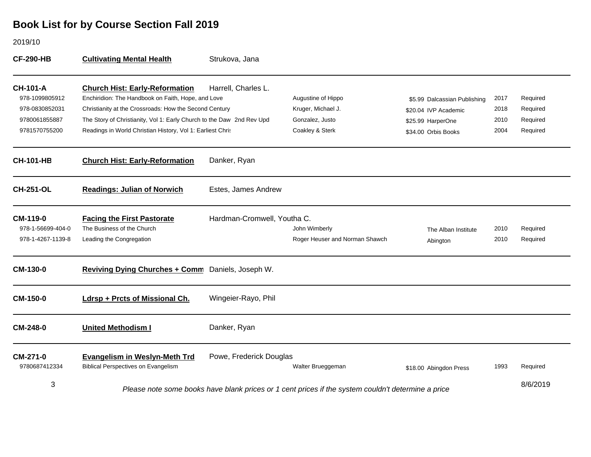2019/10

| <b>CF-290-HB</b>                                                                      | <b>Cultivating Mental Health</b>                                                                                                                                                                                                                                                             | Strukova, Jana              |                                                                                                    |                                                                                                  |                              |                                              |
|---------------------------------------------------------------------------------------|----------------------------------------------------------------------------------------------------------------------------------------------------------------------------------------------------------------------------------------------------------------------------------------------|-----------------------------|----------------------------------------------------------------------------------------------------|--------------------------------------------------------------------------------------------------|------------------------------|----------------------------------------------|
| <b>CH-101-A</b><br>978-1099805912<br>978-0830852031<br>9780061855887<br>9781570755200 | <b>Church Hist: Early-Reformation</b><br>Enchiridion: The Handbook on Faith, Hope, and Love<br>Christianity at the Crossroads: How the Second Century<br>The Story of Christianity, Vol 1: Early Church to the Daw 2nd Rev Upd<br>Readings in World Christian History, Vol 1: Earliest Chris | Harrell, Charles L.         | Augustine of Hippo<br>Kruger, Michael J.<br>Gonzalez, Justo<br>Coakley & Sterk                     | \$5.99 Dalcassian Publishing<br>\$20.04 IVP Academic<br>\$25.99 HarperOne<br>\$34.00 Orbis Books | 2017<br>2018<br>2010<br>2004 | Required<br>Required<br>Required<br>Required |
| <b>CH-101-HB</b>                                                                      | <b>Church Hist: Early-Reformation</b>                                                                                                                                                                                                                                                        | Danker, Ryan                |                                                                                                    |                                                                                                  |                              |                                              |
| <b>CH-251-OL</b>                                                                      | <b>Readings: Julian of Norwich</b>                                                                                                                                                                                                                                                           | Estes, James Andrew         |                                                                                                    |                                                                                                  |                              |                                              |
| CM-119-0<br>978-1-56699-404-0<br>978-1-4267-1139-8                                    | <b>Facing the First Pastorate</b><br>The Business of the Church<br>Leading the Congregation                                                                                                                                                                                                  | Hardman-Cromwell, Youtha C. | John Wimberly<br>Roger Heuser and Norman Shawch                                                    | The Alban Institute<br>Abington                                                                  | 2010<br>2010                 | Required<br>Required                         |
| <b>CM-130-0</b>                                                                       | Reviving Dying Churches + Comm Daniels, Joseph W.                                                                                                                                                                                                                                            |                             |                                                                                                    |                                                                                                  |                              |                                              |
| <b>CM-150-0</b>                                                                       | Ldrsp + Prcts of Missional Ch.                                                                                                                                                                                                                                                               | Wingeier-Rayo, Phil         |                                                                                                    |                                                                                                  |                              |                                              |
| CM-248-0                                                                              | <b>United Methodism I</b>                                                                                                                                                                                                                                                                    | Danker, Ryan                |                                                                                                    |                                                                                                  |                              |                                              |
| CM-271-0<br>9780687412334                                                             | <b>Evangelism in Weslyn-Meth Trd</b><br><b>Biblical Perspectives on Evangelism</b>                                                                                                                                                                                                           | Powe, Frederick Douglas     | Walter Brueggeman                                                                                  | \$18.00 Abingdon Press                                                                           | 1993                         | Required                                     |
| 3                                                                                     |                                                                                                                                                                                                                                                                                              |                             | Please note some books have blank prices or 1 cent prices if the system couldn't determine a price |                                                                                                  |                              | 8/6/2019                                     |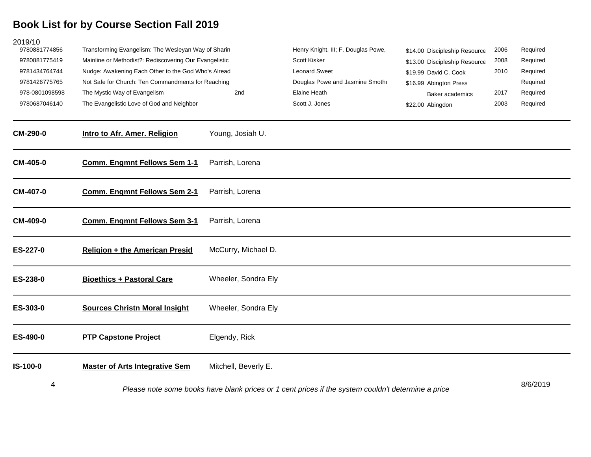| 2019/10<br>9780881774856 | Transforming Evangelism: The Wesleyan Way of Sharin    |                      | Henry Knight, III; F. Douglas Powe,                                                                | \$14.00 Discipleship Resource | 2006 | Required |
|--------------------------|--------------------------------------------------------|----------------------|----------------------------------------------------------------------------------------------------|-------------------------------|------|----------|
| 9780881775419            | Mainline or Methodist?: Rediscovering Our Evangelistic |                      | Scott Kisker                                                                                       | \$13.00 Discipleship Resource | 2008 | Required |
| 9781434764744            | Nudge: Awakening Each Other to the God Who's Alread    |                      | <b>Leonard Sweet</b>                                                                               | \$19.99 David C. Cook         | 2010 | Required |
| 9781426775765            | Not Safe for Church: Ten Commandments for Reaching     |                      | Douglas Powe and Jasmine Smoth                                                                     | \$16.99 Abington Press        |      | Required |
| 978-0801098598           | The Mystic Way of Evangelism                           | 2nd                  | Elaine Heath                                                                                       | Baker academics               | 2017 | Required |
| 9780687046140            | The Evangelistic Love of God and Neighbor              |                      | Scott J. Jones                                                                                     | \$22.00 Abingdon              | 2003 | Required |
| <b>CM-290-0</b>          | Intro to Afr. Amer. Religion                           | Young, Josiah U.     |                                                                                                    |                               |      |          |
| <b>CM-405-0</b>          | <b>Comm. Engmnt Fellows Sem 1-1</b>                    | Parrish, Lorena      |                                                                                                    |                               |      |          |
| <b>CM-407-0</b>          | <b>Comm. Engmnt Fellows Sem 2-1</b>                    | Parrish, Lorena      |                                                                                                    |                               |      |          |
| CM-409-0                 | <b>Comm. Engmnt Fellows Sem 3-1</b>                    | Parrish, Lorena      |                                                                                                    |                               |      |          |
| ES-227-0                 | <b>Religion + the American Presid</b>                  | McCurry, Michael D.  |                                                                                                    |                               |      |          |
| ES-238-0                 | <b>Bioethics + Pastoral Care</b>                       | Wheeler, Sondra Ely  |                                                                                                    |                               |      |          |
| ES-303-0                 | <b>Sources Christn Moral Insight</b>                   | Wheeler, Sondra Ely  |                                                                                                    |                               |      |          |
| ES-490-0                 | <b>PTP Capstone Project</b>                            | Elgendy, Rick        |                                                                                                    |                               |      |          |
| IS-100-0                 | <b>Master of Arts Integrative Sem</b>                  | Mitchell, Beverly E. |                                                                                                    |                               |      |          |
| 4                        |                                                        |                      | Please note some books have blank prices or 1 cent prices if the system couldn't determine a price |                               |      | 8/6/2019 |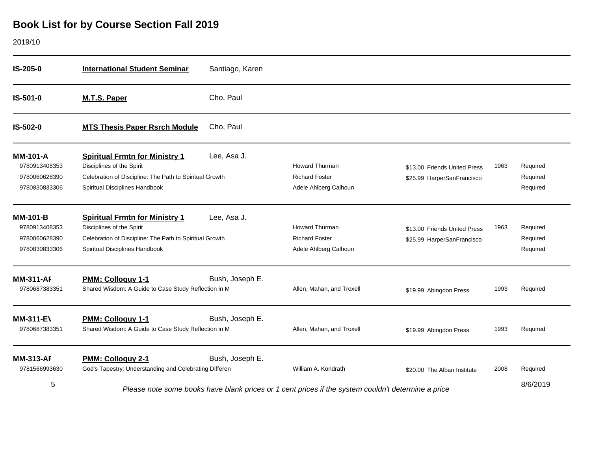#### 2019/10

| IS-205-0                                                           | <b>International Student Seminar</b>                                                                                                                            | Santiago, Karen |                                                                                                    |                                                            |      |                                  |
|--------------------------------------------------------------------|-----------------------------------------------------------------------------------------------------------------------------------------------------------------|-----------------|----------------------------------------------------------------------------------------------------|------------------------------------------------------------|------|----------------------------------|
| IS-501-0                                                           | <b>M.T.S. Paper</b>                                                                                                                                             | Cho, Paul       |                                                                                                    |                                                            |      |                                  |
| IS-502-0                                                           | <b>MTS Thesis Paper Rsrch Module</b>                                                                                                                            | Cho, Paul       |                                                                                                    |                                                            |      |                                  |
| <b>MM-101-A</b><br>9780913408353<br>9780060628390<br>9780830833306 | <b>Spiritual Frmtn for Ministry 1</b><br>Disciplines of the Spirit<br>Celebration of Discipline: The Path to Spiritual Growth<br>Spiritual Disciplines Handbook | Lee, Asa J.     | <b>Howard Thurman</b><br><b>Richard Foster</b><br>Adele Ahlberg Calhoun                            | \$13.00 Friends United Press<br>\$25.99 HarperSanFrancisco | 1963 | Required<br>Required<br>Required |
| <b>MM-101-B</b><br>9780913408353<br>9780060628390<br>9780830833306 | <b>Spiritual Frmtn for Ministry 1</b><br>Disciplines of the Spirit<br>Celebration of Discipline: The Path to Spiritual Growth<br>Spiritual Disciplines Handbook | Lee, Asa J.     | <b>Howard Thurman</b><br><b>Richard Foster</b><br>Adele Ahlberg Calhoun                            | \$13.00 Friends United Press<br>\$25.99 HarperSanFrancisco | 1963 | Required<br>Required<br>Required |
| <b>MM-311-AF</b><br>9780687383351                                  | <b>PMM: Colloquy 1-1</b><br>Shared Wisdom: A Guide to Case Study Reflection in M                                                                                | Bush, Joseph E. | Allen, Mahan, and Troxell                                                                          | \$19.99 Abingdon Press                                     | 1993 | Required                         |
| <b>MM-311-EV</b><br>9780687383351                                  | <b>PMM: Colloquy 1-1</b><br>Shared Wisdom: A Guide to Case Study Reflection in M                                                                                | Bush, Joseph E. | Allen, Mahan, and Troxell                                                                          | \$19.99 Abingdon Press                                     | 1993 | Required                         |
| <b>MM-313-AF</b><br>9781566993630<br>5                             | <b>PMM: Colloguy 2-1</b><br>God's Tapestry: Understanding and Celebrating Differen                                                                              | Bush, Joseph E. | William A. Kondrath                                                                                | \$20.00 The Alban Institute                                | 2008 | Required<br>8/6/2019             |
|                                                                    |                                                                                                                                                                 |                 | Please note some books have blank prices or 1 cent prices if the system couldn't determine a price |                                                            |      |                                  |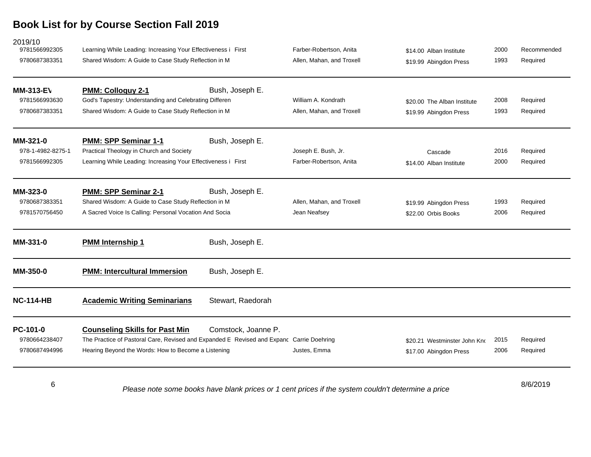| 2019/10<br>9781566992305<br>9780687383351          | Learning While Leading: Increasing Your Effectiveness i First<br>Shared Wisdom: A Guide to Case Study Reflection in M                                                                    |                     | Farber-Robertson, Anita<br>Allen, Mahan, and Troxell | \$14.00 Alban Institute<br>\$19.99 Abingdon Press      | 2000<br>1993 | Recommended<br>Required |
|----------------------------------------------------|------------------------------------------------------------------------------------------------------------------------------------------------------------------------------------------|---------------------|------------------------------------------------------|--------------------------------------------------------|--------------|-------------------------|
| <b>MM-313-EV</b><br>9781566993630<br>9780687383351 | <b>PMM: Colloquy 2-1</b><br>God's Tapestry: Understanding and Celebrating Differen<br>Shared Wisdom: A Guide to Case Study Reflection in M                                               | Bush, Joseph E.     | William A. Kondrath<br>Allen, Mahan, and Troxell     | \$20.00 The Alban Institute<br>\$19.99 Abingdon Press  | 2008<br>1993 | Required<br>Required    |
| MM-321-0<br>978-1-4982-8275-1<br>9781566992305     | PMM: SPP Seminar 1-1<br>Practical Theology in Church and Society<br>Learning While Leading: Increasing Your Effectiveness i First                                                        | Bush, Joseph E.     | Joseph E. Bush, Jr.<br>Farber-Robertson, Anita       | Cascade<br>\$14.00 Alban Institute                     | 2016<br>2000 | Required<br>Required    |
| MM-323-0<br>9780687383351<br>9781570756450         | <b>PMM: SPP Seminar 2-1</b><br>Shared Wisdom: A Guide to Case Study Reflection in M<br>A Sacred Voice Is Calling: Personal Vocation And Socia                                            | Bush, Joseph E.     | Allen, Mahan, and Troxell<br>Jean Neafsey            | \$19.99 Abingdon Press<br>\$22.00 Orbis Books          | 1993<br>2006 | Required<br>Required    |
| MM-331-0                                           | <b>PMM Internship 1</b>                                                                                                                                                                  | Bush, Joseph E.     |                                                      |                                                        |              |                         |
| <b>MM-350-0</b>                                    | <b>PMM: Intercultural Immersion</b>                                                                                                                                                      | Bush, Joseph E.     |                                                      |                                                        |              |                         |
| <b>NC-114-HB</b>                                   | <b>Academic Writing Seminarians</b>                                                                                                                                                      | Stewart, Raedorah   |                                                      |                                                        |              |                         |
| PC-101-0<br>9780664238407<br>9780687494996         | <b>Counseling Skills for Past Min</b><br>The Practice of Pastoral Care, Revised and Expanded E Revised and Expanc Carrie Doehring<br>Hearing Beyond the Words: How to Become a Listening | Comstock, Joanne P. | Justes, Emma                                         | \$20.21 Westminster John Kno<br>\$17.00 Abingdon Press | 2015<br>2006 | Required<br>Required    |
|                                                    |                                                                                                                                                                                          |                     |                                                      |                                                        |              | $\frac{1}{2}$           |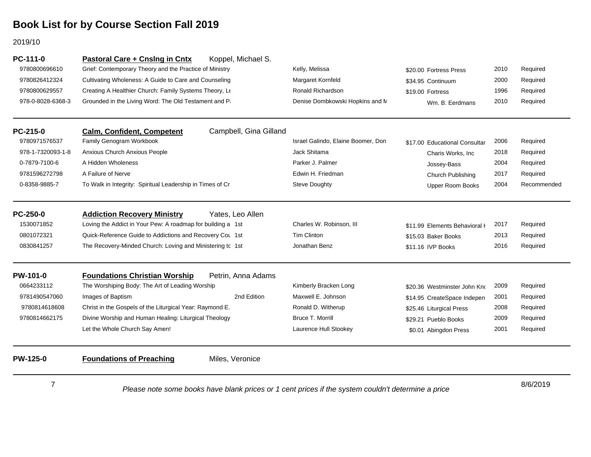2019/10

| <b>PC-111-0</b>   | Pastoral Care + Cnslng in Cntx                          | Koppel, Michael S.     |                                    |                               |      |          |
|-------------------|---------------------------------------------------------|------------------------|------------------------------------|-------------------------------|------|----------|
| 9780800696610     | Grief: Contemporary Theory and the Practice of Ministry |                        | Kelly, Melissa                     | \$20.00 Fortress Press        | 2010 | Required |
| 9780826412324     | Cultivating Wholeness: A Guide to Care and Counseling   |                        | Margaret Kornfeld                  | \$34.95 Continuum             | 2000 | Required |
| 9780800629557     | Creating A Healthier Church: Family Systems Theory, Le  |                        | Ronald Richardson                  | \$19.00 Fortress              | 1996 | Required |
| 978-0-8028-6368-3 | Grounded in the Living Word: The Old Testament and P    |                        | Denise Dombkowski Hopkins and N    | Wm. B. Eerdmans               | 2010 | Required |
| $PC-215-0$        | <b>Calm, Confident, Competent</b>                       | Campbell, Gina Gilland |                                    |                               |      |          |
| 9780971576537     | Family Genogram Workbook                                |                        | Israel Galindo, Elaine Boomer, Don | \$17.00 Educational Consultar | 2006 | Required |
| --- . -------     | .                                                       |                        | $\cdots$                           |                               |      |          |

| 978-1-7320093-1-8 | Anxious Church Anxious People                               |                    | Jack Shitama             | Charis Works, Inc.            | 2018 | Required    |
|-------------------|-------------------------------------------------------------|--------------------|--------------------------|-------------------------------|------|-------------|
| 0-7879-7100-6     | A Hidden Wholeness                                          |                    | Parker J. Palmer         | Jossey-Bass                   | 2004 | Required    |
| 9781596272798     | A Failure of Nerve                                          |                    | Edwin H. Friedman        | Church Publishing             | 2017 | Required    |
| 0-8358-9885-7     | To Walk in Integrity: Spiritual Leadership in Times of Cr   |                    | Steve Doughty            | Upper Room Books              | 2004 | Recommended |
| $PC-250-0$        | <b>Addiction Recovery Ministry</b>                          | Yates, Leo Allen   |                          |                               |      |             |
| 1530071852        | Loving the Addict in Your Pew: A roadmap for building a 1st |                    | Charles W. Robinson, III | \$11.99 Elements Behavioral H | 2017 | Required    |
| 0801072321        | Quick-Reference Guide to Addictions and Recovery Cou 1st    |                    | Tim Clinton              | \$15.03 Baker Books           | 2013 | Required    |
| 0830841257        | The Recovery-Minded Church: Loving and Ministering to 1st   |                    | Jonathan Benz            | \$11.16 IVP Books             | 2016 | Required    |
| <b>PW-101-0</b>   | <b>Foundations Christian Worship</b>                        | Petrin, Anna Adams |                          |                               |      |             |
| 0664233112        | The Worshiping Body: The Art of Leading Worship             |                    | Kimberly Bracken Long    | \$20.36 Westminster John Kno  | 2009 | Required    |
| 9781490547060     | Images of Baptism                                           | 2nd Edition        | Maxwell E. Johnson       | \$14.95 CreateSpace Indepen   | 2001 | Required    |
| 9780814618608     | Christ in the Gospels of the Liturgical Year: Raymond E.    |                    | Ronald D. Witherup       | \$25.46 Liturgical Press      | 2008 | Required    |

**PW-125-0 Foundations of Preaching** Miles, Veronice

9780814662175

7

8/6/2019 *Please note some books have blank prices or 1 cent prices if the system couldn't determine a price*

Divine Worship and Human Healing: Liturgical Theology **Bruce T. Morrill** Bruce T. Morrill \$29.21 Pueblo Books 2009 Required Let the Whole Church Say Amen! The Music Church Say Amen! Laurence Hull Stookey **1988** 50.01 Abingdon Press 2001 Required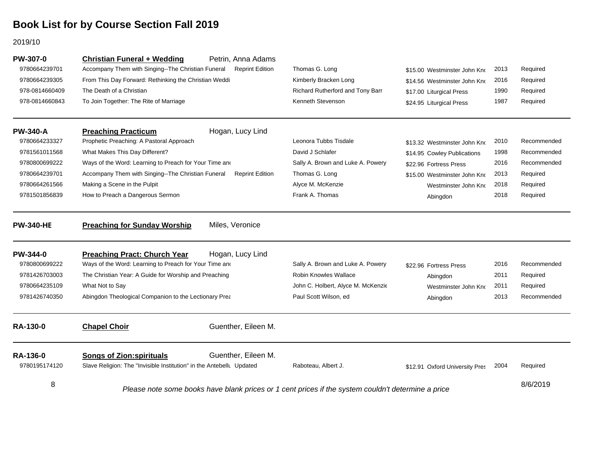#### 2019/10

| PW-307-0         | <b>Christian Funeral + Wedding</b>                                   | Petrin, Anna Adams     |                                                                                                    |                                |      |             |
|------------------|----------------------------------------------------------------------|------------------------|----------------------------------------------------------------------------------------------------|--------------------------------|------|-------------|
| 9780664239701    | Accompany Them with Singing--The Christian Funeral                   | <b>Reprint Edition</b> | Thomas G. Long                                                                                     | \$15.00 Westminster John Kno   | 2013 | Required    |
| 9780664239305    | From This Day Forward: Rethinking the Christian Weddi                |                        | Kimberly Bracken Long                                                                              | \$14.56 Westminster John Kno   | 2016 | Required    |
| 978-0814660409   | The Death of a Christian                                             |                        | Richard Rutherford and Tony Barr                                                                   | \$17.00 Liturgical Press       | 1990 | Required    |
| 978-0814660843   | To Join Together: The Rite of Marriage                               |                        | Kenneth Stevenson                                                                                  | \$24.95 Liturgical Press       | 1987 | Required    |
| <b>PW-340-A</b>  | <b>Preaching Practicum</b>                                           | Hogan, Lucy Lind       |                                                                                                    |                                |      |             |
| 9780664233327    | Prophetic Preaching: A Pastoral Approach                             |                        | Leonora Tubbs Tisdale                                                                              | \$13.32 Westminster John Kno   | 2010 | Recommended |
| 9781561011568    | What Makes This Day Different?                                       |                        | David J Schlafer                                                                                   | \$14.95 Cowley Publications    | 1998 | Recommended |
| 9780800699222    | Ways of the Word: Learning to Preach for Your Time and               |                        | Sally A. Brown and Luke A. Powery                                                                  | \$22.96 Fortress Press         | 2016 | Recommended |
| 9780664239701    | Accompany Them with Singing--The Christian Funeral                   | <b>Reprint Edition</b> | Thomas G. Long                                                                                     | \$15.00 Westminster John Kno   | 2013 | Required    |
| 9780664261566    | Making a Scene in the Pulpit                                         |                        | Alyce M. McKenzie                                                                                  | Westminster John Kno           | 2018 | Required    |
| 9781501856839    | How to Preach a Dangerous Sermon                                     |                        | Frank A. Thomas                                                                                    | Abingdon                       | 2018 | Required    |
| <b>PW-340-HE</b> | <b>Preaching for Sunday Worship</b>                                  | Miles, Veronice        |                                                                                                    |                                |      |             |
| PW-344-0         | <b>Preaching Pract: Church Year</b>                                  | Hogan, Lucy Lind       |                                                                                                    |                                |      |             |
| 9780800699222    | Ways of the Word: Learning to Preach for Your Time and               |                        | Sally A. Brown and Luke A. Powery                                                                  | \$22.96 Fortress Press         | 2016 | Recommended |
| 9781426703003    | The Christian Year: A Guide for Worship and Preaching                |                        | Robin Knowles Wallace                                                                              | Abingdon                       | 2011 | Required    |
| 9780664235109    | What Not to Say                                                      |                        | John C. Holbert, Alyce M. McKenzie                                                                 | Westminster John Kno           | 2011 | Required    |
| 9781426740350    | Abingdon Theological Companion to the Lectionary Prea                |                        | Paul Scott Wilson, ed                                                                              | Abingdon                       | 2013 | Recommended |
| <b>RA-130-0</b>  | <b>Chapel Choir</b>                                                  | Guenther, Eileen M.    |                                                                                                    |                                |      |             |
| RA-136-0         | <b>Songs of Zion:spirituals</b>                                      | Guenther, Eileen M.    |                                                                                                    |                                |      |             |
| 9780195174120    | Slave Religion: The "Invisible Institution" in the Antebellu Updated |                        | Raboteau, Albert J.                                                                                | \$12.91 Oxford University Pres | 2004 | Required    |
| 8                |                                                                      |                        | Please note some books have blank prices or 1 cent prices if the system couldn't determine a price |                                |      | 8/6/2019    |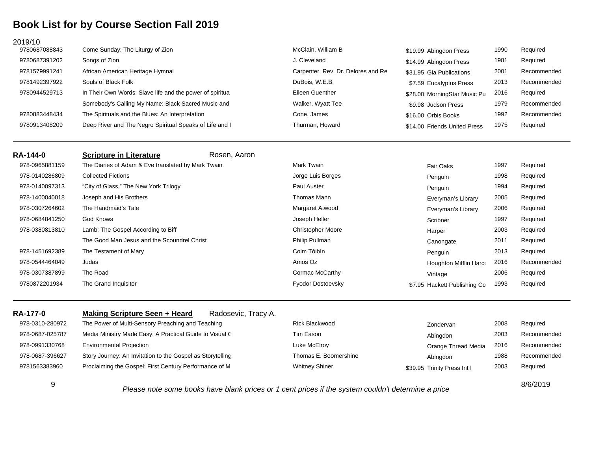| 2019/10         |                                                          |                                    |                              |      |             |
|-----------------|----------------------------------------------------------|------------------------------------|------------------------------|------|-------------|
| 9780687088843   | Come Sunday: The Liturgy of Zion                         | McClain, William B                 | \$19.99 Abingdon Press       | 1990 | Required    |
| 9780687391202   | Songs of Zion                                            | J. Cleveland                       | \$14.99 Abingdon Press       | 1981 | Required    |
| 9781579991241   | African American Heritage Hymnal                         | Carpenter, Rev. Dr. Delores and Re | \$31.95 Gia Publications     | 2001 | Recommended |
| 9781492397922   | Souls of Black Folk                                      | DuBois, W.E.B.                     | \$7.59 Eucalyptus Press      | 2013 | Recommended |
| 9780944529713   | In Their Own Words: Slave life and the power of spiritua | Eileen Guenther                    | \$28.00 MorningStar Music Pu | 2016 | Required    |
|                 | Somebody's Calling My Name: Black Sacred Music and       | Walker, Wyatt Tee                  | \$9.98 Judson Press          | 1979 | Recommended |
| 9780883448434   | The Spirituals and the Blues: An Interpretation          | Cone, James                        | \$16.00 Orbis Books          | 1992 | Recommended |
| 9780913408209   | Deep River and The Negro Spiritual Speaks of Life and I  | Thurman, Howard                    | \$14.00 Friends United Press | 1975 | Required    |
| <b>RA-144-0</b> | <b>Scripture in Literature</b><br>Rosen, Aaron           |                                    |                              |      |             |
| 978-0965881159  | The Diaries of Adam & Eve translated by Mark Twain       | Mark Twain                         | Fair Oaks                    | 1997 | Required    |
| 978-0140286809  | <b>Collected Fictions</b>                                | Jorge Luis Borges                  | Penguin                      | 1998 | Required    |
| 978-0140097313  | "City of Glass," The New York Trilogy                    | Paul Auster                        | Penguin                      | 1994 | Required    |
| 978-1400040018  | Joseph and His Brothers                                  | Thomas Mann                        | Everyman's Library           | 2005 | Required    |
| 978-0307264602  | The Handmaid's Tale                                      | Margaret Atwood                    | Everyman's Library           | 2006 | Required    |
| 978-0684841250  | God Knows                                                | Joseph Heller                      | Scribner                     | 1997 | Required    |
| 978-0380813810  | Lamb: The Gospel According to Biff                       | <b>Christopher Moore</b>           | Harper                       | 2003 | Required    |
|                 | The Good Man Jesus and the Scoundrel Christ              | Philip Pullman                     | Canongate                    | 2011 | Required    |
| 978-1451692389  | The Testament of Mary                                    | Colm Tóibín                        | Penguin                      | 2013 | Required    |
| 978-0544464049  | Judas                                                    | Amos Oz                            | Houghton Mifflin Harco       | 2016 | Recommended |

| RA-177-0        | Radosevic, Tracy A.<br><b>Making Scripture Seen + Heard</b> |                       |                             |      |             |
|-----------------|-------------------------------------------------------------|-----------------------|-----------------------------|------|-------------|
| 978-0310-280972 | The Power of Multi-Sensory Preaching and Teaching           | <b>Rick Blackwood</b> | Zondervan                   | 2008 | Required    |
| 978-0687-025787 | Media Ministry Made Easy: A Practical Guide to Visual C     | Tim Eason             | Abingdon                    | 2003 | Recommended |
| 978-0991330768  | <b>Environmental Projection</b>                             | Luke McElroy          | Orange Thread Media         | 2016 | Recommended |
| 978-0687-396627 | Story Journey: An Invitation to the Gospel as Storytelling  | Thomas E. Boomershine | Abingdon                    | 1988 | Recommended |
| 9781563383960   | Proclaiming the Gospel: First Century Performance of M      | <b>Whitney Shiner</b> | \$39.95 Trinity Press Int'l | 2003 | Required    |

9 The Road Cormac McCarthy 2006 Required

The Grand Inquisitor **Fyodor Dostoevsky** Fyodor Dostoevsky **1993** Required

9

978-0307387899

9780872201934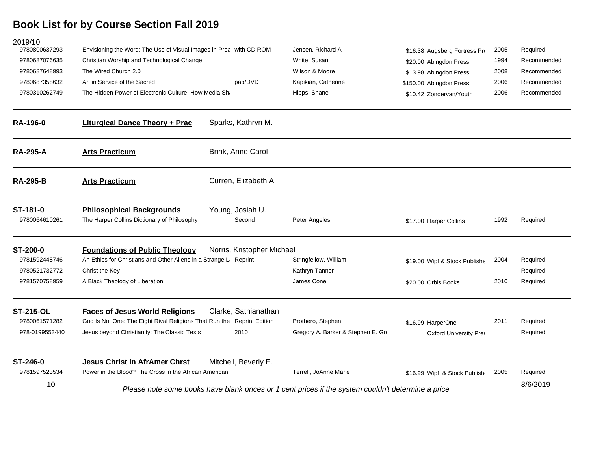| 2019/10                   |                                                                                 |                            |                                                                                                    |                               |      |             |
|---------------------------|---------------------------------------------------------------------------------|----------------------------|----------------------------------------------------------------------------------------------------|-------------------------------|------|-------------|
| 9780800637293             | Envisioning the Word: The Use of Visual Images in Prea with CD ROM              |                            | Jensen, Richard A                                                                                  | \$16.38 Augsberg Fortress Pre | 2005 | Required    |
| 9780687076635             | Christian Worship and Technological Change                                      |                            | White, Susan                                                                                       | \$20.00 Abingdon Press        | 1994 | Recommended |
| 9780687648993             | The Wired Church 2.0                                                            |                            | Wilson & Moore                                                                                     | \$13.98 Abingdon Press        | 2008 | Recommended |
| 9780687358632             | Art in Service of the Sacred                                                    | pap/DVD                    | Kapikian, Catherine                                                                                | \$150.00 Abingdon Press       | 2006 | Recommended |
| 9780310262749             | The Hidden Power of Electronic Culture: How Media Sha                           |                            | Hipps, Shane                                                                                       | \$10.42 Zondervan/Youth       | 2006 | Recommended |
| RA-196-0                  | <b>Liturgical Dance Theory + Prac</b>                                           | Sparks, Kathryn M.         |                                                                                                    |                               |      |             |
| <b>RA-295-A</b>           | <b>Arts Practicum</b>                                                           | Brink, Anne Carol          |                                                                                                    |                               |      |             |
| <b>RA-295-B</b>           | <b>Arts Practicum</b>                                                           | Curren, Elizabeth A        |                                                                                                    |                               |      |             |
| ST-181-0<br>9780064610261 | <b>Philosophical Backgrounds</b><br>The Harper Collins Dictionary of Philosophy | Young, Josiah U.<br>Second | Peter Angeles                                                                                      | \$17.00 Harper Collins        | 1992 | Required    |
| ST-200-0                  | <b>Foundations of Public Theology</b>                                           | Norris, Kristopher Michael |                                                                                                    |                               |      |             |
| 9781592448746             | An Ethics for Christians and Other Aliens in a Strange Lt Reprint               |                            | Stringfellow, William                                                                              | \$19.00 Wipf & Stock Publishe | 2004 | Required    |
| 9780521732772             | Christ the Key                                                                  |                            | Kathryn Tanner                                                                                     |                               |      | Required    |
| 9781570758959             | A Black Theology of Liberation                                                  |                            | James Cone                                                                                         | \$20.00 Orbis Books           | 2010 | Required    |
| <b>ST-215-OL</b>          | <b>Faces of Jesus World Religions</b>                                           | Clarke, Sathianathan       |                                                                                                    |                               |      |             |
| 9780061571282             | God Is Not One: The Eight Rival Religions That Run the Reprint Edition          |                            | Prothero, Stephen                                                                                  | \$16.99 HarperOne             | 2011 | Required    |
| 978-0199553440            | Jesus beyond Christianity: The Classic Texts                                    | 2010                       | Gregory A. Barker & Stephen E. Gre                                                                 | <b>Oxford University Pres</b> |      | Required    |
| ST-246-0                  | <b>Jesus Christ in AfrAmer Chrst</b>                                            | Mitchell, Beverly E.       |                                                                                                    |                               |      |             |
| 9781597523534             | Power in the Blood? The Cross in the African American                           |                            | Terrell, JoAnne Marie                                                                              | \$16.99 Wipf & Stock Publishe | 2005 | Required    |
| 10                        |                                                                                 |                            | Please note some books have blank prices or 1 cent prices if the system couldn't determine a price |                               |      | 8/6/2019    |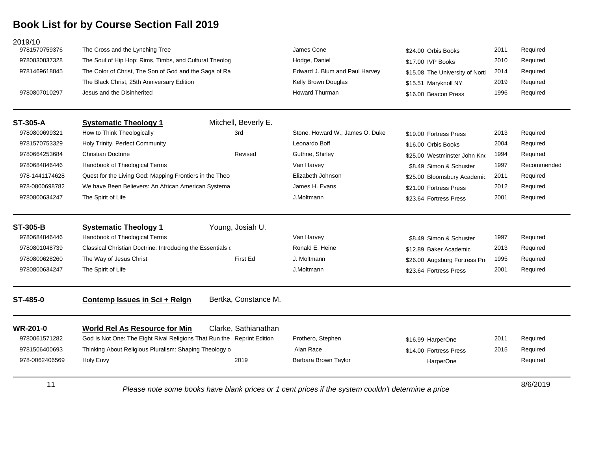| 978-0062406569                   | Holy Envy                                                              | 2019                 | Barbara Brown Taylor                             | HarperOne                                              |              | Required             |
|----------------------------------|------------------------------------------------------------------------|----------------------|--------------------------------------------------|--------------------------------------------------------|--------------|----------------------|
| 9781506400693                    | Thinking About Religious Pluralism: Shaping Theology o                 |                      | Alan Race                                        | \$14.00 Fortress Press                                 | 2015         | Required             |
| 9780061571282                    | God Is Not One: The Eight Rival Religions That Run the Reprint Edition |                      | Prothero, Stephen                                | \$16.99 HarperOne                                      | 2011         | Required             |
| <b>WR-201-0</b>                  | <b>World Rel As Resource for Min</b>                                   | Clarke, Sathianathan |                                                  |                                                        |              |                      |
| ST-485-0                         | Contemp Issues in Sci + Relgn                                          | Bertka, Constance M. |                                                  |                                                        |              |                      |
| 9780800634247                    | The Spirit of Life                                                     |                      | J.Moltmann                                       | \$23.64 Fortress Press                                 | 2001         | Required             |
| 9780800628260                    | The Way of Jesus Christ                                                | First Ed             | J. Moltmann                                      | \$26.00 Augsburg Fortress Pre                          | 1995         | Required             |
| 9780801048739                    | Classical Christian Doctrine: Introducing the Essentials o             |                      | Ronald E. Heine                                  | \$12.89 Baker Academic                                 | 2013         | Required             |
| <b>ST-305-B</b><br>9780684846446 | <b>Systematic Theology 1</b><br>Handbook of Theological Terms          | Young, Josiah U.     | Van Harvey                                       | \$8.49 Simon & Schuster                                | 1997         | Required             |
|                                  |                                                                        |                      |                                                  |                                                        |              |                      |
| 9780800634247                    | The Spirit of Life                                                     |                      | J.Moltmann                                       | \$23.64 Fortress Press                                 | 2001         | Required             |
| 978-0800698782                   | We have Been Believers: An African American Systema                    |                      | James H. Evans                                   | \$21.00 Fortress Press                                 | 2012         | Required             |
| 978-1441174628                   | Quest for the Living God: Mapping Frontiers in the Theo                |                      | Elizabeth Johnson                                | \$8.49 Simon & Schuster<br>\$25.00 Bloomsbury Academic | 2011         | Required             |
| 9780684846446                    | Handbook of Theological Terms                                          |                      | Van Harvey                                       | \$25.00 Westminster John Kno                           | 1997         | Recommended          |
| 9780664253684                    | Holy Trinity, Perfect Community<br><b>Christian Doctrine</b>           | Revised              | Guthrie, Shirley                                 | \$16.00 Orbis Books                                    | 2004<br>1994 | Required<br>Required |
| 9780800699321<br>9781570753329   | How to Think Theologically                                             | 3rd                  | Stone, Howard W., James O. Duke<br>Leonardo Boff | \$19.00 Fortress Press                                 | 2013         | Required             |
| <b>ST-305-A</b>                  | <b>Systematic Theology 1</b>                                           | Mitchell, Beverly E. |                                                  |                                                        |              |                      |
| 9780807010297                    | Jesus and the Disinherited                                             |                      | <b>Howard Thurman</b>                            | \$16.00 Beacon Press                                   | 1996         | Required             |
|                                  | The Black Christ, 25th Anniversary Edition                             |                      | Kelly Brown Douglas                              | \$15.51 Maryknoll NY                                   | 2019         | Required             |
| 9781469618845                    | The Color of Christ, The Son of God and the Saga of Ra                 |                      | Edward J. Blum and Paul Harvey                   | \$15.08 The University of Nortl                        | 2014         | Required             |
| 9780830837328                    | The Soul of Hip Hop: Rims, Timbs, and Cultural Theolog                 |                      | Hodge, Daniel                                    | \$17.00 IVP Books                                      | 2010         | Required             |
| 9781570759376                    | The Cross and the Lynching Tree                                        |                      | James Cone                                       | \$24.00 Orbis Books                                    | 2011         | Required             |